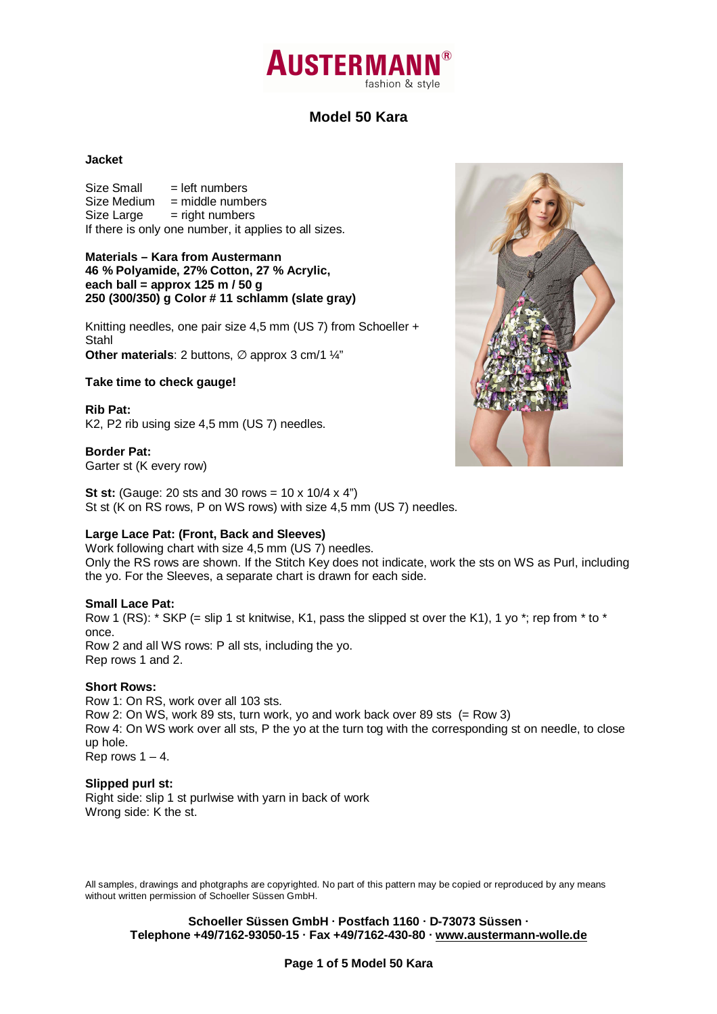# **AUSTERMA** fashion & style

### **Model 50 Kara**

### **Jacket**

 $Size Small$  = left numbers  $Size Medium = middle numbers$  $Size Large = right numbers$ If there is only one number, it applies to all sizes.

### **Materials – Kara from Austermann 46 % Polyamide, 27% Cotton, 27 % Acrylic, each ball = approx 125 m / 50 g 250 (300/350) g Color # 11 schlamm (slate gray)**

Knitting needles, one pair size 4,5 mm (US 7) from Schoeller + Stahl **Other materials**: 2 buttons, ∅ approx 3 cm/1 ¼"

### **Take time to check gauge!**

**Rib Pat:**  K2, P2 rib using size 4,5 mm (US 7) needles.

**Border Pat:**  Garter st (K every row)

**St st:** (Gauge: 20 sts and 30 rows = 10 x 10/4 x 4") St st (K on RS rows, P on WS rows) with size 4,5 mm (US 7) needles.

### **Large Lace Pat: (Front, Back and Sleeves)**

Work following chart with size 4,5 mm (US 7) needles. Only the RS rows are shown. If the Stitch Key does not indicate, work the sts on WS as Purl, including the yo. For the Sleeves, a separate chart is drawn for each side.

### **Small Lace Pat:**

Row 1 (RS):  $*$  SKP (= slip 1 st knitwise, K1, pass the slipped st over the K1), 1 yo  $*$ ; rep from  $*$  to  $*$ once. Row 2 and all WS rows: P all sts, including the yo. Rep rows 1 and 2.

### **Short Rows:**

Row 1: On RS, work over all 103 sts. Row 2: On WS, work 89 sts, turn work, yo and work back over 89 sts (= Row 3) Row 4: On WS work over all sts, P the yo at the turn tog with the corresponding st on needle, to close up hole. Rep rows  $1 - 4$ .

### **Slipped purl st:**

Right side: slip 1 st purlwise with yarn in back of work Wrong side: K the st.

All samples, drawings and photgraphs are copyrighted. No part of this pattern may be copied or reproduced by any means without written permission of Schoeller Süssen GmbH.

**Schoeller Süssen GmbH · Postfach 1160 · D-73073 Süssen · Telephone +49/7162-93050-15 · Fax +49/7162-430-80 · www.austermann-wolle.de**



**Page 1 of 5 Model 50 Kara**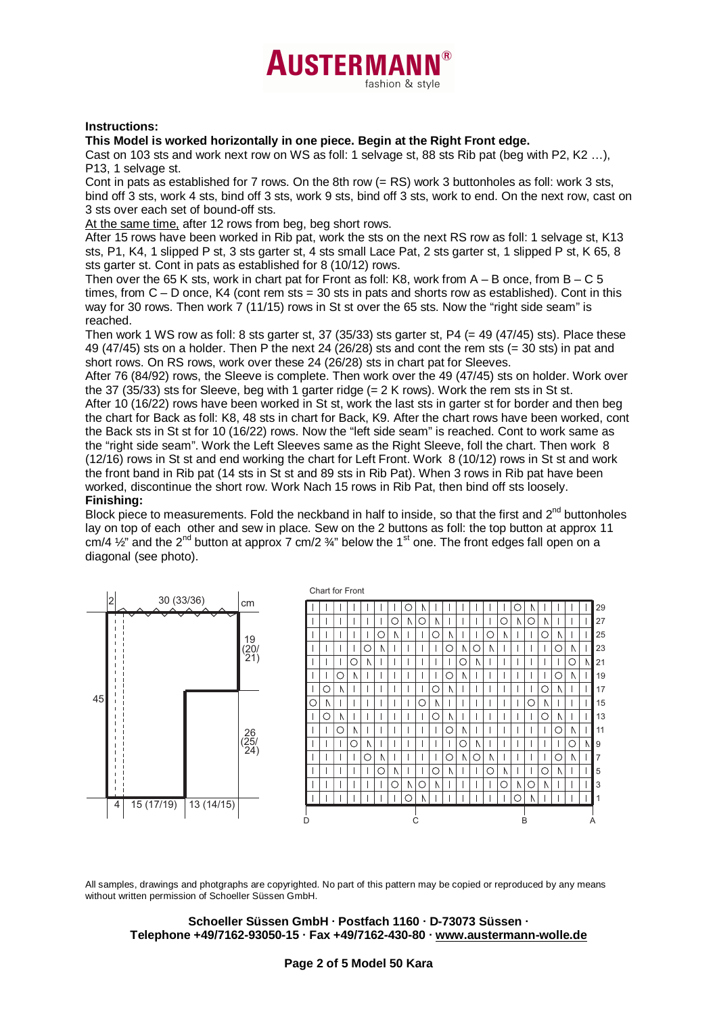## **AUSTERMAL** fashion & style

### **Instructions:**

### **This Model is worked horizontally in one piece. Begin at the Right Front edge.**

Cast on 103 sts and work next row on WS as foll: 1 selvage st, 88 sts Rib pat (beg with P2, K2 …), P13, 1 selvage st.

Cont in pats as established for  $7$  rows. On the 8th row  $(= RS)$  work 3 buttonholes as foll: work 3 sts, bind off 3 sts, work 4 sts, bind off 3 sts, work 9 sts, bind off 3 sts, work to end. On the next row, cast on 3 sts over each set of bound-off sts.

At the same time, after 12 rows from beg, beg short rows.

After 15 rows have been worked in Rib pat, work the sts on the next RS row as foll: 1 selvage st, K13 sts, P1, K4, 1 slipped P st, 3 sts garter st, 4 sts small Lace Pat, 2 sts garter st, 1 slipped P st, K 65, 8 sts garter st. Cont in pats as established for 8 (10/12) rows.

Then over the 65 K sts, work in chart pat for Front as foll: K8, work from  $A - B$  once, from  $B - C$  5 times, from  $C - D$  once, K4 (cont rem sts = 30 sts in pats and shorts row as established). Cont in this way for 30 rows. Then work 7 (11/15) rows in St st over the 65 sts. Now the "right side seam" is reached.

Then work 1 WS row as foll: 8 sts garter st, 37 (35/33) sts garter st, P4 (= 49 (47/45) sts). Place these 49 (47/45) sts on a holder. Then P the next 24 (26/28) sts and cont the rem sts (= 30 sts) in pat and short rows. On RS rows, work over these 24 (26/28) sts in chart pat for Sleeves.

After 76 (84/92) rows, the Sleeve is complete. Then work over the 49 (47/45) sts on holder. Work over the 37 (35/33) sts for Sleeve, beg with 1 garter ridge (= 2 K rows). Work the rem sts in St st.

After 10 (16/22) rows have been worked in St st, work the last sts in garter st for border and then beg the chart for Back as foll: K8, 48 sts in chart for Back, K9. After the chart rows have been worked, cont the Back sts in St st for 10 (16/22) rows. Now the "left side seam" is reached. Cont to work same as the "right side seam". Work the Left Sleeves same as the Right Sleeve, foll the chart. Then work 8 (12/16) rows in St st and end working the chart for Left Front. Work 8 (10/12) rows in St st and work the front band in Rib pat (14 sts in St st and 89 sts in Rib Pat). When 3 rows in Rib pat have been worked, discontinue the short row. Work Nach 15 rows in Rib Pat, then bind off sts loosely. **Finishing:** 

Block piece to measurements. Fold the neckband in half to inside, so that the first and  $2^{nd}$  buttonholes lay on top of each other and sew in place. Sew on the 2 buttons as foll: the top button at approx 11 cm/4  $\frac{1}{2}$ " and the 2<sup>nd</sup> button at approx 7 cm/2  $\frac{3}{4}$ " below the 1<sup>st</sup> one. The front edges fall open on a diagonal (see photo).



All samples, drawings and photgraphs are copyrighted. No part of this pattern may be copied or reproduced by any means without written permission of Schoeller Süssen GmbH.

#### **Schoeller Süssen GmbH · Postfach 1160 · D-73073 Süssen · Telephone +49/7162-93050-15 · Fax +49/7162-430-80 · www.austermann-wolle.de**

### **Page 2 of 5 Model 50 Kara**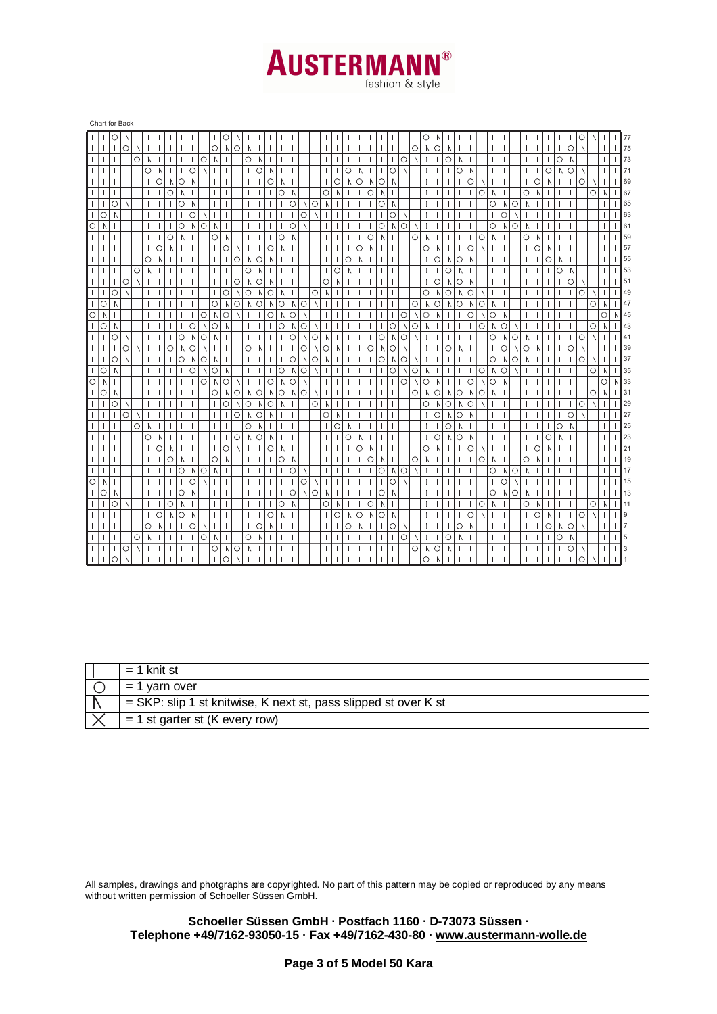

fashion & style

| О<br>O<br>O<br>O<br>$\circ$<br>$\circ$<br>$\circ$<br>$\circ$<br>$\circ$<br>О<br>N<br>A<br>Λ<br>Λ<br>$\circ$<br>O<br>O<br>C<br>О<br>О<br>Ν<br>Λ<br>Λ<br>Λ<br>Λ<br>Λ<br>$\circ$<br>$\circ$<br>Ō<br>$\circ$<br>$\circ$<br>$\circ$<br>$\mathbb N$<br>$\circ$<br>Ν<br>Λ<br>О<br>Λ<br>Λ<br>Λ<br>Λ<br>Ν<br>$\circ$<br>$\circ$<br>$\circ$<br>$\circ$<br>$\circ$<br>$\circ$<br>O<br>$\mathbb N$<br>$\circ$<br>O<br>Λ<br>Λ<br>Λ<br>A<br>Λ<br>$\sqrt{ }$<br>-1<br>A<br>Λ<br>O<br>O<br>O<br>О<br>O<br>O<br>Λ<br>О<br>Λ<br>Λ<br>Λ<br>Λ<br>Ν<br>A<br>$\circ$<br>О<br>O<br>О<br>О<br>O<br>$\circ$<br>N<br>N<br>Λ<br>A.<br>Ν<br>$\circ$<br>$\circ$<br>$\circ$<br>O<br>О<br>$\mathbb N$<br>A<br>Λ<br>Δ<br>N<br>$\circ$<br>$\circ$<br>O<br>$\circ$<br>$\circ$<br>$\Delta$<br>O<br>О<br>О<br>N<br>Λ<br>Λ<br>Λ<br>A<br>Λ<br>J.<br>$\circ$<br>О<br>$\circ$<br>$\circ$<br>О<br>Ο<br>Ν<br>Λ<br>Λ<br>O<br>N<br>N<br>$\mathbb{N}$<br>Λ<br>O<br>O<br>O<br>O<br>O<br>O<br>О<br>Λ<br>Λ<br>Λ<br>Λ<br>Λ<br>Λ<br>Λ<br>$\circ$<br>$\circ$<br>O<br>$\circ$<br>O<br>O<br>$\circ$<br>Λ<br>Λ<br>Λ<br>Λ<br>Λ<br>J.<br>Λ<br>$\circ$<br>$\circ$<br>О<br>O<br>О<br>Λ<br>Λ<br>Λ<br>Λ<br>Λ<br>O<br>O<br>О<br>О<br>O<br>О<br>О<br>Λ<br>Λ<br>Λ<br>Λ<br>Δ<br>Λ<br>Ν<br>$\circ$<br>О<br>O<br>$\mathbb N$<br>Ν<br>$\circ$<br>O<br>O<br>O<br>Λ<br>O<br>O<br>Λ<br>Λ<br>Λ<br>Λ<br>Λ<br>$\circ$<br>$\circ$<br>O<br>O<br>$\circ$<br>O<br>A<br>O<br>$\mathbb N$<br>Ν<br>О<br>$\mathbb N$<br>Λ<br>О<br>О<br>О<br>Λ<br>Λ<br>Ν<br>Λ<br>Ν<br>A<br>O<br>$\circ$<br>Ο<br>O<br>O<br>O<br>O<br>O<br>O<br>Λ<br>О<br>N<br>Λ<br>N<br>Λ<br>$\mathcal{N}$<br>-1<br>A<br>Λ<br>N<br>$\circ$<br>$\circ$<br>$\circ$<br>$\circ$<br>$\circ$<br>O<br>Λ<br>$\circ$<br>$\mathbb N$<br>$\circ$<br>O<br>$\mathbb N$<br>Ν<br>Ν<br>A<br>О<br>Λ<br>Ν<br>Λ<br>$\Lambda$<br>$\circ$<br>O<br>$\circ$<br>$\circ$<br>$\circ$<br>O<br>$\circ$<br>$\circ$<br>Λ<br>$\mathbb N$<br>О<br>O<br>$\mathbb N$<br>Ν<br>N<br>ı<br>Λ<br>$\Delta$<br>Λ<br>$\Lambda$<br>Λ<br>O<br>$\circ$<br>Λ<br>$\circ$<br>O<br>O<br>О<br>O<br>$\circ$<br>O<br>N<br>O<br>Λ<br>Λ<br>O<br>O<br>Λ<br>Ν<br>Ν<br>A<br>Λ<br>N<br>Λ<br>Λ<br>O<br>$\circ$<br>$\circ$<br>O<br>О<br>$\circ$<br>Λ<br>Λ<br>Λ<br>Λ<br>О<br>О<br>Λ<br>Λ<br>O<br>Ν<br>О<br>Δ<br>$\lambda$<br>$\circ$<br>$\circ$<br>$\circ$<br>$\circ$<br>$\circ$<br>Λ<br>$\circ$<br>О<br>O<br>О<br>Λ<br>O<br>$\mathbb N$<br>Λ<br>Λ<br>Λ<br>$\Lambda$<br>A<br>Ν<br>$\mathbf{I}$<br>Λ<br>O<br>$\circ$<br>O<br>О<br>$\circ$<br>$\lambda$<br>O<br>O<br>О<br>Λ<br>О<br>Ν<br>Ν<br>O<br>$\mathcal{N}$<br>Λ<br>$\mathbb N$<br>Λ<br>Ν<br>$\circ$<br>$\circ$<br>$\circ$<br>$\circ$<br>$\circ$<br>Ν<br>O<br>О<br>O<br>O<br>$\circ$<br>O<br>$\mathbb N$<br>Ν<br>Λ<br>$\mathbb N$<br>N<br>Λ<br>Ν<br>Λ<br>Λ<br>Ν<br>$\circ$<br>$\circ$<br>O<br>$\mathbb N$<br>Λ<br>O<br>O<br>O<br>O<br>$\circ$<br>O<br>N<br>Λ<br>$\lambda$<br>Λ<br>$\Lambda$<br>Ν<br>Ν<br>$\circ$<br>$\circ$<br>О<br>$\circ$<br>O<br>O<br>$\mathbb N$<br>Λ<br>$\sqrt{ }$<br>О<br>Λ<br>Λ<br>Λ<br>Λ<br>O<br>О<br>O<br>О<br>$\mathbf{I}$<br>О<br>A<br>Ν<br>Λ<br>Λ<br>Λ<br>O<br>O<br>О<br>О<br>O<br>О<br>Ν<br>Λ<br>О<br>Λ<br>Λ<br>Ν<br>$\circ$<br>$\circ$<br>О<br>О<br>$\circ$<br>$\mathbb N$<br>O<br>O<br>$\mathbb N$<br>Λ<br>Λ<br>A<br>Λ<br>Λ<br>Ο<br>O<br>O<br>O<br>O<br>Ν<br>О<br>$\mathbb N$<br>O<br>Λ<br>Λ<br>Ν<br>Λ<br>Λ<br>$\circ$<br>$\circ$<br>$\circ$<br>O<br>О<br>О<br>$\circ$<br>Ν<br>Ν<br>Ν<br>$\mathbb N$<br>V<br>Ν<br>10<br>$\circ$<br>$\circ$<br>$\circ$<br>N<br>O<br>$\mathbb N$<br>$\mathbb N$<br>$\Lambda$<br>H<br>N<br>O<br>$\circ$<br>O<br>O<br>$\circ$<br>$\circ$<br>N<br>Λ<br>Λ<br>Λ<br>О<br>Λ<br>Ν<br>О<br>$\circ$<br>O<br>О<br>O<br>О<br>$\mathbb N$<br>$\circ$<br>O<br>Λ<br>Ν<br>Δ<br>Λ<br>Ν<br>N<br>Λ<br>O<br>O<br>O<br>O<br>O<br>O<br>O<br>Ω<br>Λ<br>Λ<br>Λ<br>О<br>Λ<br>Λ<br>$\mathcal{N}$<br>Λ<br>Λ<br>$\circ$<br>$\circ$<br>O<br>Λ<br>O<br>O<br>$\circ$<br>$\circ$<br>O<br>Ν<br>$\mathbb N$<br>Λ<br>Λ<br>Λ<br>Λ<br>Ν<br>O<br>$\circ$<br>O<br>$\circ$<br>О<br>$\circ$<br>Λ<br>A<br>1<br>Λ<br>Λ<br>A<br>N | Chart for Back |  |  |   |   |  |  |  |  |  |  |         |   |         |   |  |  |  |  |  |  |  |  |   |             |   |   |  |  |  |  |  |         |   |  |   |                |
|-----------------------------------------------------------------------------------------------------------------------------------------------------------------------------------------------------------------------------------------------------------------------------------------------------------------------------------------------------------------------------------------------------------------------------------------------------------------------------------------------------------------------------------------------------------------------------------------------------------------------------------------------------------------------------------------------------------------------------------------------------------------------------------------------------------------------------------------------------------------------------------------------------------------------------------------------------------------------------------------------------------------------------------------------------------------------------------------------------------------------------------------------------------------------------------------------------------------------------------------------------------------------------------------------------------------------------------------------------------------------------------------------------------------------------------------------------------------------------------------------------------------------------------------------------------------------------------------------------------------------------------------------------------------------------------------------------------------------------------------------------------------------------------------------------------------------------------------------------------------------------------------------------------------------------------------------------------------------------------------------------------------------------------------------------------------------------------------------------------------------------------------------------------------------------------------------------------------------------------------------------------------------------------------------------------------------------------------------------------------------------------------------------------------------------------------------------------------------------------------------------------------------------------------------------------------------------------------------------------------------------------------------------------------------------------------------------------------------------------------------------------------------------------------------------------------------------------------------------------------------------------------------------------------------------------------------------------------------------------------------------------------------------------------------------------------------------------------------------------------------------------------------------------------------------------------------------------------------------------------------------------------------------------------------------------------------------------------------------------------------------------------------------------------------------------------------------------------------------------------------------------------------------------------------------------------------------------------------------------------------------------------------------------------------------------------------------------------------------------------------------------------------------------------------------------------------------------------------------------------------------------------------------------------------------------------------------------------------------------------------------------------------|----------------|--|--|---|---|--|--|--|--|--|--|---------|---|---------|---|--|--|--|--|--|--|--|--|---|-------------|---|---|--|--|--|--|--|---------|---|--|---|----------------|
|                                                                                                                                                                                                                                                                                                                                                                                                                                                                                                                                                                                                                                                                                                                                                                                                                                                                                                                                                                                                                                                                                                                                                                                                                                                                                                                                                                                                                                                                                                                                                                                                                                                                                                                                                                                                                                                                                                                                                                                                                                                                                                                                                                                                                                                                                                                                                                                                                                                                                                                                                                                                                                                                                                                                                                                                                                                                                                                                                                                                                                                                                                                                                                                                                                                                                                                                                                                                                                                                                                                                                                                                                                                                                                                                                                                                                                                                                                                                                                                                                       |                |  |  |   |   |  |  |  |  |  |  |         |   |         |   |  |  |  |  |  |  |  |  |   |             |   |   |  |  |  |  |  |         |   |  |   | 77             |
|                                                                                                                                                                                                                                                                                                                                                                                                                                                                                                                                                                                                                                                                                                                                                                                                                                                                                                                                                                                                                                                                                                                                                                                                                                                                                                                                                                                                                                                                                                                                                                                                                                                                                                                                                                                                                                                                                                                                                                                                                                                                                                                                                                                                                                                                                                                                                                                                                                                                                                                                                                                                                                                                                                                                                                                                                                                                                                                                                                                                                                                                                                                                                                                                                                                                                                                                                                                                                                                                                                                                                                                                                                                                                                                                                                                                                                                                                                                                                                                                                       |                |  |  |   |   |  |  |  |  |  |  |         |   |         |   |  |  |  |  |  |  |  |  |   |             |   |   |  |  |  |  |  |         |   |  |   | 75             |
|                                                                                                                                                                                                                                                                                                                                                                                                                                                                                                                                                                                                                                                                                                                                                                                                                                                                                                                                                                                                                                                                                                                                                                                                                                                                                                                                                                                                                                                                                                                                                                                                                                                                                                                                                                                                                                                                                                                                                                                                                                                                                                                                                                                                                                                                                                                                                                                                                                                                                                                                                                                                                                                                                                                                                                                                                                                                                                                                                                                                                                                                                                                                                                                                                                                                                                                                                                                                                                                                                                                                                                                                                                                                                                                                                                                                                                                                                                                                                                                                                       |                |  |  |   |   |  |  |  |  |  |  |         |   |         |   |  |  |  |  |  |  |  |  |   |             |   |   |  |  |  |  |  |         |   |  |   | 73             |
|                                                                                                                                                                                                                                                                                                                                                                                                                                                                                                                                                                                                                                                                                                                                                                                                                                                                                                                                                                                                                                                                                                                                                                                                                                                                                                                                                                                                                                                                                                                                                                                                                                                                                                                                                                                                                                                                                                                                                                                                                                                                                                                                                                                                                                                                                                                                                                                                                                                                                                                                                                                                                                                                                                                                                                                                                                                                                                                                                                                                                                                                                                                                                                                                                                                                                                                                                                                                                                                                                                                                                                                                                                                                                                                                                                                                                                                                                                                                                                                                                       |                |  |  |   |   |  |  |  |  |  |  |         |   |         |   |  |  |  |  |  |  |  |  |   |             |   |   |  |  |  |  |  |         |   |  |   | 71             |
|                                                                                                                                                                                                                                                                                                                                                                                                                                                                                                                                                                                                                                                                                                                                                                                                                                                                                                                                                                                                                                                                                                                                                                                                                                                                                                                                                                                                                                                                                                                                                                                                                                                                                                                                                                                                                                                                                                                                                                                                                                                                                                                                                                                                                                                                                                                                                                                                                                                                                                                                                                                                                                                                                                                                                                                                                                                                                                                                                                                                                                                                                                                                                                                                                                                                                                                                                                                                                                                                                                                                                                                                                                                                                                                                                                                                                                                                                                                                                                                                                       |                |  |  |   |   |  |  |  |  |  |  |         |   |         |   |  |  |  |  |  |  |  |  |   |             |   |   |  |  |  |  |  |         |   |  |   | 69             |
|                                                                                                                                                                                                                                                                                                                                                                                                                                                                                                                                                                                                                                                                                                                                                                                                                                                                                                                                                                                                                                                                                                                                                                                                                                                                                                                                                                                                                                                                                                                                                                                                                                                                                                                                                                                                                                                                                                                                                                                                                                                                                                                                                                                                                                                                                                                                                                                                                                                                                                                                                                                                                                                                                                                                                                                                                                                                                                                                                                                                                                                                                                                                                                                                                                                                                                                                                                                                                                                                                                                                                                                                                                                                                                                                                                                                                                                                                                                                                                                                                       |                |  |  |   |   |  |  |  |  |  |  |         |   |         |   |  |  |  |  |  |  |  |  |   |             |   |   |  |  |  |  |  |         |   |  |   | 67             |
|                                                                                                                                                                                                                                                                                                                                                                                                                                                                                                                                                                                                                                                                                                                                                                                                                                                                                                                                                                                                                                                                                                                                                                                                                                                                                                                                                                                                                                                                                                                                                                                                                                                                                                                                                                                                                                                                                                                                                                                                                                                                                                                                                                                                                                                                                                                                                                                                                                                                                                                                                                                                                                                                                                                                                                                                                                                                                                                                                                                                                                                                                                                                                                                                                                                                                                                                                                                                                                                                                                                                                                                                                                                                                                                                                                                                                                                                                                                                                                                                                       |                |  |  |   |   |  |  |  |  |  |  |         |   |         |   |  |  |  |  |  |  |  |  |   |             |   |   |  |  |  |  |  |         |   |  |   | 65             |
|                                                                                                                                                                                                                                                                                                                                                                                                                                                                                                                                                                                                                                                                                                                                                                                                                                                                                                                                                                                                                                                                                                                                                                                                                                                                                                                                                                                                                                                                                                                                                                                                                                                                                                                                                                                                                                                                                                                                                                                                                                                                                                                                                                                                                                                                                                                                                                                                                                                                                                                                                                                                                                                                                                                                                                                                                                                                                                                                                                                                                                                                                                                                                                                                                                                                                                                                                                                                                                                                                                                                                                                                                                                                                                                                                                                                                                                                                                                                                                                                                       |                |  |  |   |   |  |  |  |  |  |  |         |   |         |   |  |  |  |  |  |  |  |  |   |             |   |   |  |  |  |  |  |         |   |  |   | 63             |
|                                                                                                                                                                                                                                                                                                                                                                                                                                                                                                                                                                                                                                                                                                                                                                                                                                                                                                                                                                                                                                                                                                                                                                                                                                                                                                                                                                                                                                                                                                                                                                                                                                                                                                                                                                                                                                                                                                                                                                                                                                                                                                                                                                                                                                                                                                                                                                                                                                                                                                                                                                                                                                                                                                                                                                                                                                                                                                                                                                                                                                                                                                                                                                                                                                                                                                                                                                                                                                                                                                                                                                                                                                                                                                                                                                                                                                                                                                                                                                                                                       |                |  |  |   |   |  |  |  |  |  |  |         |   |         |   |  |  |  |  |  |  |  |  |   |             |   |   |  |  |  |  |  |         |   |  |   | 61             |
|                                                                                                                                                                                                                                                                                                                                                                                                                                                                                                                                                                                                                                                                                                                                                                                                                                                                                                                                                                                                                                                                                                                                                                                                                                                                                                                                                                                                                                                                                                                                                                                                                                                                                                                                                                                                                                                                                                                                                                                                                                                                                                                                                                                                                                                                                                                                                                                                                                                                                                                                                                                                                                                                                                                                                                                                                                                                                                                                                                                                                                                                                                                                                                                                                                                                                                                                                                                                                                                                                                                                                                                                                                                                                                                                                                                                                                                                                                                                                                                                                       |                |  |  |   |   |  |  |  |  |  |  |         |   |         |   |  |  |  |  |  |  |  |  |   |             |   |   |  |  |  |  |  |         |   |  |   | 59             |
|                                                                                                                                                                                                                                                                                                                                                                                                                                                                                                                                                                                                                                                                                                                                                                                                                                                                                                                                                                                                                                                                                                                                                                                                                                                                                                                                                                                                                                                                                                                                                                                                                                                                                                                                                                                                                                                                                                                                                                                                                                                                                                                                                                                                                                                                                                                                                                                                                                                                                                                                                                                                                                                                                                                                                                                                                                                                                                                                                                                                                                                                                                                                                                                                                                                                                                                                                                                                                                                                                                                                                                                                                                                                                                                                                                                                                                                                                                                                                                                                                       |                |  |  |   |   |  |  |  |  |  |  |         |   |         |   |  |  |  |  |  |  |  |  |   |             |   |   |  |  |  |  |  |         |   |  |   | 57             |
|                                                                                                                                                                                                                                                                                                                                                                                                                                                                                                                                                                                                                                                                                                                                                                                                                                                                                                                                                                                                                                                                                                                                                                                                                                                                                                                                                                                                                                                                                                                                                                                                                                                                                                                                                                                                                                                                                                                                                                                                                                                                                                                                                                                                                                                                                                                                                                                                                                                                                                                                                                                                                                                                                                                                                                                                                                                                                                                                                                                                                                                                                                                                                                                                                                                                                                                                                                                                                                                                                                                                                                                                                                                                                                                                                                                                                                                                                                                                                                                                                       |                |  |  |   |   |  |  |  |  |  |  |         |   |         |   |  |  |  |  |  |  |  |  |   |             |   |   |  |  |  |  |  |         |   |  |   | 55             |
|                                                                                                                                                                                                                                                                                                                                                                                                                                                                                                                                                                                                                                                                                                                                                                                                                                                                                                                                                                                                                                                                                                                                                                                                                                                                                                                                                                                                                                                                                                                                                                                                                                                                                                                                                                                                                                                                                                                                                                                                                                                                                                                                                                                                                                                                                                                                                                                                                                                                                                                                                                                                                                                                                                                                                                                                                                                                                                                                                                                                                                                                                                                                                                                                                                                                                                                                                                                                                                                                                                                                                                                                                                                                                                                                                                                                                                                                                                                                                                                                                       |                |  |  |   |   |  |  |  |  |  |  |         |   |         |   |  |  |  |  |  |  |  |  |   |             |   |   |  |  |  |  |  |         |   |  |   | 53             |
|                                                                                                                                                                                                                                                                                                                                                                                                                                                                                                                                                                                                                                                                                                                                                                                                                                                                                                                                                                                                                                                                                                                                                                                                                                                                                                                                                                                                                                                                                                                                                                                                                                                                                                                                                                                                                                                                                                                                                                                                                                                                                                                                                                                                                                                                                                                                                                                                                                                                                                                                                                                                                                                                                                                                                                                                                                                                                                                                                                                                                                                                                                                                                                                                                                                                                                                                                                                                                                                                                                                                                                                                                                                                                                                                                                                                                                                                                                                                                                                                                       |                |  |  |   |   |  |  |  |  |  |  |         |   |         |   |  |  |  |  |  |  |  |  |   |             |   |   |  |  |  |  |  |         |   |  |   | 51             |
|                                                                                                                                                                                                                                                                                                                                                                                                                                                                                                                                                                                                                                                                                                                                                                                                                                                                                                                                                                                                                                                                                                                                                                                                                                                                                                                                                                                                                                                                                                                                                                                                                                                                                                                                                                                                                                                                                                                                                                                                                                                                                                                                                                                                                                                                                                                                                                                                                                                                                                                                                                                                                                                                                                                                                                                                                                                                                                                                                                                                                                                                                                                                                                                                                                                                                                                                                                                                                                                                                                                                                                                                                                                                                                                                                                                                                                                                                                                                                                                                                       |                |  |  |   |   |  |  |  |  |  |  |         |   |         |   |  |  |  |  |  |  |  |  |   |             |   |   |  |  |  |  |  |         |   |  |   | 49             |
|                                                                                                                                                                                                                                                                                                                                                                                                                                                                                                                                                                                                                                                                                                                                                                                                                                                                                                                                                                                                                                                                                                                                                                                                                                                                                                                                                                                                                                                                                                                                                                                                                                                                                                                                                                                                                                                                                                                                                                                                                                                                                                                                                                                                                                                                                                                                                                                                                                                                                                                                                                                                                                                                                                                                                                                                                                                                                                                                                                                                                                                                                                                                                                                                                                                                                                                                                                                                                                                                                                                                                                                                                                                                                                                                                                                                                                                                                                                                                                                                                       |                |  |  |   |   |  |  |  |  |  |  |         |   |         |   |  |  |  |  |  |  |  |  |   |             |   |   |  |  |  |  |  |         |   |  |   | 47             |
|                                                                                                                                                                                                                                                                                                                                                                                                                                                                                                                                                                                                                                                                                                                                                                                                                                                                                                                                                                                                                                                                                                                                                                                                                                                                                                                                                                                                                                                                                                                                                                                                                                                                                                                                                                                                                                                                                                                                                                                                                                                                                                                                                                                                                                                                                                                                                                                                                                                                                                                                                                                                                                                                                                                                                                                                                                                                                                                                                                                                                                                                                                                                                                                                                                                                                                                                                                                                                                                                                                                                                                                                                                                                                                                                                                                                                                                                                                                                                                                                                       |                |  |  |   |   |  |  |  |  |  |  |         |   |         |   |  |  |  |  |  |  |  |  |   |             |   |   |  |  |  |  |  |         |   |  | Λ | 45             |
|                                                                                                                                                                                                                                                                                                                                                                                                                                                                                                                                                                                                                                                                                                                                                                                                                                                                                                                                                                                                                                                                                                                                                                                                                                                                                                                                                                                                                                                                                                                                                                                                                                                                                                                                                                                                                                                                                                                                                                                                                                                                                                                                                                                                                                                                                                                                                                                                                                                                                                                                                                                                                                                                                                                                                                                                                                                                                                                                                                                                                                                                                                                                                                                                                                                                                                                                                                                                                                                                                                                                                                                                                                                                                                                                                                                                                                                                                                                                                                                                                       |                |  |  |   |   |  |  |  |  |  |  |         |   |         |   |  |  |  |  |  |  |  |  |   |             |   |   |  |  |  |  |  |         |   |  |   | 43             |
|                                                                                                                                                                                                                                                                                                                                                                                                                                                                                                                                                                                                                                                                                                                                                                                                                                                                                                                                                                                                                                                                                                                                                                                                                                                                                                                                                                                                                                                                                                                                                                                                                                                                                                                                                                                                                                                                                                                                                                                                                                                                                                                                                                                                                                                                                                                                                                                                                                                                                                                                                                                                                                                                                                                                                                                                                                                                                                                                                                                                                                                                                                                                                                                                                                                                                                                                                                                                                                                                                                                                                                                                                                                                                                                                                                                                                                                                                                                                                                                                                       |                |  |  |   |   |  |  |  |  |  |  |         |   |         |   |  |  |  |  |  |  |  |  |   |             |   |   |  |  |  |  |  |         |   |  |   | 41             |
|                                                                                                                                                                                                                                                                                                                                                                                                                                                                                                                                                                                                                                                                                                                                                                                                                                                                                                                                                                                                                                                                                                                                                                                                                                                                                                                                                                                                                                                                                                                                                                                                                                                                                                                                                                                                                                                                                                                                                                                                                                                                                                                                                                                                                                                                                                                                                                                                                                                                                                                                                                                                                                                                                                                                                                                                                                                                                                                                                                                                                                                                                                                                                                                                                                                                                                                                                                                                                                                                                                                                                                                                                                                                                                                                                                                                                                                                                                                                                                                                                       |                |  |  |   |   |  |  |  |  |  |  |         |   |         |   |  |  |  |  |  |  |  |  |   |             |   |   |  |  |  |  |  |         |   |  |   | 39             |
|                                                                                                                                                                                                                                                                                                                                                                                                                                                                                                                                                                                                                                                                                                                                                                                                                                                                                                                                                                                                                                                                                                                                                                                                                                                                                                                                                                                                                                                                                                                                                                                                                                                                                                                                                                                                                                                                                                                                                                                                                                                                                                                                                                                                                                                                                                                                                                                                                                                                                                                                                                                                                                                                                                                                                                                                                                                                                                                                                                                                                                                                                                                                                                                                                                                                                                                                                                                                                                                                                                                                                                                                                                                                                                                                                                                                                                                                                                                                                                                                                       |                |  |  |   |   |  |  |  |  |  |  |         |   |         |   |  |  |  |  |  |  |  |  |   |             |   |   |  |  |  |  |  |         |   |  |   | 37             |
|                                                                                                                                                                                                                                                                                                                                                                                                                                                                                                                                                                                                                                                                                                                                                                                                                                                                                                                                                                                                                                                                                                                                                                                                                                                                                                                                                                                                                                                                                                                                                                                                                                                                                                                                                                                                                                                                                                                                                                                                                                                                                                                                                                                                                                                                                                                                                                                                                                                                                                                                                                                                                                                                                                                                                                                                                                                                                                                                                                                                                                                                                                                                                                                                                                                                                                                                                                                                                                                                                                                                                                                                                                                                                                                                                                                                                                                                                                                                                                                                                       |                |  |  |   |   |  |  |  |  |  |  |         |   |         |   |  |  |  |  |  |  |  |  |   |             |   |   |  |  |  |  |  |         |   |  |   | 35             |
|                                                                                                                                                                                                                                                                                                                                                                                                                                                                                                                                                                                                                                                                                                                                                                                                                                                                                                                                                                                                                                                                                                                                                                                                                                                                                                                                                                                                                                                                                                                                                                                                                                                                                                                                                                                                                                                                                                                                                                                                                                                                                                                                                                                                                                                                                                                                                                                                                                                                                                                                                                                                                                                                                                                                                                                                                                                                                                                                                                                                                                                                                                                                                                                                                                                                                                                                                                                                                                                                                                                                                                                                                                                                                                                                                                                                                                                                                                                                                                                                                       |                |  |  |   |   |  |  |  |  |  |  |         |   |         |   |  |  |  |  |  |  |  |  |   |             |   |   |  |  |  |  |  |         |   |  | Ν | 33             |
|                                                                                                                                                                                                                                                                                                                                                                                                                                                                                                                                                                                                                                                                                                                                                                                                                                                                                                                                                                                                                                                                                                                                                                                                                                                                                                                                                                                                                                                                                                                                                                                                                                                                                                                                                                                                                                                                                                                                                                                                                                                                                                                                                                                                                                                                                                                                                                                                                                                                                                                                                                                                                                                                                                                                                                                                                                                                                                                                                                                                                                                                                                                                                                                                                                                                                                                                                                                                                                                                                                                                                                                                                                                                                                                                                                                                                                                                                                                                                                                                                       |                |  |  |   |   |  |  |  |  |  |  |         |   |         |   |  |  |  |  |  |  |  |  |   |             |   |   |  |  |  |  |  |         |   |  |   | 31             |
|                                                                                                                                                                                                                                                                                                                                                                                                                                                                                                                                                                                                                                                                                                                                                                                                                                                                                                                                                                                                                                                                                                                                                                                                                                                                                                                                                                                                                                                                                                                                                                                                                                                                                                                                                                                                                                                                                                                                                                                                                                                                                                                                                                                                                                                                                                                                                                                                                                                                                                                                                                                                                                                                                                                                                                                                                                                                                                                                                                                                                                                                                                                                                                                                                                                                                                                                                                                                                                                                                                                                                                                                                                                                                                                                                                                                                                                                                                                                                                                                                       |                |  |  |   |   |  |  |  |  |  |  |         |   |         |   |  |  |  |  |  |  |  |  |   |             |   |   |  |  |  |  |  |         |   |  |   | 29             |
|                                                                                                                                                                                                                                                                                                                                                                                                                                                                                                                                                                                                                                                                                                                                                                                                                                                                                                                                                                                                                                                                                                                                                                                                                                                                                                                                                                                                                                                                                                                                                                                                                                                                                                                                                                                                                                                                                                                                                                                                                                                                                                                                                                                                                                                                                                                                                                                                                                                                                                                                                                                                                                                                                                                                                                                                                                                                                                                                                                                                                                                                                                                                                                                                                                                                                                                                                                                                                                                                                                                                                                                                                                                                                                                                                                                                                                                                                                                                                                                                                       |                |  |  |   |   |  |  |  |  |  |  |         |   |         |   |  |  |  |  |  |  |  |  |   |             |   |   |  |  |  |  |  |         |   |  |   | 27             |
|                                                                                                                                                                                                                                                                                                                                                                                                                                                                                                                                                                                                                                                                                                                                                                                                                                                                                                                                                                                                                                                                                                                                                                                                                                                                                                                                                                                                                                                                                                                                                                                                                                                                                                                                                                                                                                                                                                                                                                                                                                                                                                                                                                                                                                                                                                                                                                                                                                                                                                                                                                                                                                                                                                                                                                                                                                                                                                                                                                                                                                                                                                                                                                                                                                                                                                                                                                                                                                                                                                                                                                                                                                                                                                                                                                                                                                                                                                                                                                                                                       |                |  |  |   |   |  |  |  |  |  |  |         |   |         |   |  |  |  |  |  |  |  |  |   |             |   |   |  |  |  |  |  |         |   |  |   | 25             |
|                                                                                                                                                                                                                                                                                                                                                                                                                                                                                                                                                                                                                                                                                                                                                                                                                                                                                                                                                                                                                                                                                                                                                                                                                                                                                                                                                                                                                                                                                                                                                                                                                                                                                                                                                                                                                                                                                                                                                                                                                                                                                                                                                                                                                                                                                                                                                                                                                                                                                                                                                                                                                                                                                                                                                                                                                                                                                                                                                                                                                                                                                                                                                                                                                                                                                                                                                                                                                                                                                                                                                                                                                                                                                                                                                                                                                                                                                                                                                                                                                       |                |  |  |   |   |  |  |  |  |  |  |         |   |         |   |  |  |  |  |  |  |  |  |   |             |   |   |  |  |  |  |  |         |   |  |   | 23             |
|                                                                                                                                                                                                                                                                                                                                                                                                                                                                                                                                                                                                                                                                                                                                                                                                                                                                                                                                                                                                                                                                                                                                                                                                                                                                                                                                                                                                                                                                                                                                                                                                                                                                                                                                                                                                                                                                                                                                                                                                                                                                                                                                                                                                                                                                                                                                                                                                                                                                                                                                                                                                                                                                                                                                                                                                                                                                                                                                                                                                                                                                                                                                                                                                                                                                                                                                                                                                                                                                                                                                                                                                                                                                                                                                                                                                                                                                                                                                                                                                                       |                |  |  |   |   |  |  |  |  |  |  |         |   |         |   |  |  |  |  |  |  |  |  |   |             |   |   |  |  |  |  |  |         |   |  |   | 21             |
|                                                                                                                                                                                                                                                                                                                                                                                                                                                                                                                                                                                                                                                                                                                                                                                                                                                                                                                                                                                                                                                                                                                                                                                                                                                                                                                                                                                                                                                                                                                                                                                                                                                                                                                                                                                                                                                                                                                                                                                                                                                                                                                                                                                                                                                                                                                                                                                                                                                                                                                                                                                                                                                                                                                                                                                                                                                                                                                                                                                                                                                                                                                                                                                                                                                                                                                                                                                                                                                                                                                                                                                                                                                                                                                                                                                                                                                                                                                                                                                                                       |                |  |  |   |   |  |  |  |  |  |  |         |   |         |   |  |  |  |  |  |  |  |  |   |             |   |   |  |  |  |  |  |         |   |  |   | 19             |
|                                                                                                                                                                                                                                                                                                                                                                                                                                                                                                                                                                                                                                                                                                                                                                                                                                                                                                                                                                                                                                                                                                                                                                                                                                                                                                                                                                                                                                                                                                                                                                                                                                                                                                                                                                                                                                                                                                                                                                                                                                                                                                                                                                                                                                                                                                                                                                                                                                                                                                                                                                                                                                                                                                                                                                                                                                                                                                                                                                                                                                                                                                                                                                                                                                                                                                                                                                                                                                                                                                                                                                                                                                                                                                                                                                                                                                                                                                                                                                                                                       |                |  |  |   |   |  |  |  |  |  |  |         |   |         |   |  |  |  |  |  |  |  |  |   |             |   |   |  |  |  |  |  |         |   |  |   | 17             |
|                                                                                                                                                                                                                                                                                                                                                                                                                                                                                                                                                                                                                                                                                                                                                                                                                                                                                                                                                                                                                                                                                                                                                                                                                                                                                                                                                                                                                                                                                                                                                                                                                                                                                                                                                                                                                                                                                                                                                                                                                                                                                                                                                                                                                                                                                                                                                                                                                                                                                                                                                                                                                                                                                                                                                                                                                                                                                                                                                                                                                                                                                                                                                                                                                                                                                                                                                                                                                                                                                                                                                                                                                                                                                                                                                                                                                                                                                                                                                                                                                       |                |  |  |   |   |  |  |  |  |  |  |         |   |         |   |  |  |  |  |  |  |  |  |   |             |   |   |  |  |  |  |  |         |   |  |   | 15             |
|                                                                                                                                                                                                                                                                                                                                                                                                                                                                                                                                                                                                                                                                                                                                                                                                                                                                                                                                                                                                                                                                                                                                                                                                                                                                                                                                                                                                                                                                                                                                                                                                                                                                                                                                                                                                                                                                                                                                                                                                                                                                                                                                                                                                                                                                                                                                                                                                                                                                                                                                                                                                                                                                                                                                                                                                                                                                                                                                                                                                                                                                                                                                                                                                                                                                                                                                                                                                                                                                                                                                                                                                                                                                                                                                                                                                                                                                                                                                                                                                                       |                |  |  |   |   |  |  |  |  |  |  |         |   |         |   |  |  |  |  |  |  |  |  |   |             |   |   |  |  |  |  |  |         |   |  |   | 13             |
|                                                                                                                                                                                                                                                                                                                                                                                                                                                                                                                                                                                                                                                                                                                                                                                                                                                                                                                                                                                                                                                                                                                                                                                                                                                                                                                                                                                                                                                                                                                                                                                                                                                                                                                                                                                                                                                                                                                                                                                                                                                                                                                                                                                                                                                                                                                                                                                                                                                                                                                                                                                                                                                                                                                                                                                                                                                                                                                                                                                                                                                                                                                                                                                                                                                                                                                                                                                                                                                                                                                                                                                                                                                                                                                                                                                                                                                                                                                                                                                                                       |                |  |  |   |   |  |  |  |  |  |  |         |   |         |   |  |  |  |  |  |  |  |  |   |             |   |   |  |  |  |  |  |         |   |  |   | 11             |
|                                                                                                                                                                                                                                                                                                                                                                                                                                                                                                                                                                                                                                                                                                                                                                                                                                                                                                                                                                                                                                                                                                                                                                                                                                                                                                                                                                                                                                                                                                                                                                                                                                                                                                                                                                                                                                                                                                                                                                                                                                                                                                                                                                                                                                                                                                                                                                                                                                                                                                                                                                                                                                                                                                                                                                                                                                                                                                                                                                                                                                                                                                                                                                                                                                                                                                                                                                                                                                                                                                                                                                                                                                                                                                                                                                                                                                                                                                                                                                                                                       |                |  |  |   |   |  |  |  |  |  |  |         |   |         |   |  |  |  |  |  |  |  |  |   |             |   |   |  |  |  |  |  |         |   |  |   | 9              |
|                                                                                                                                                                                                                                                                                                                                                                                                                                                                                                                                                                                                                                                                                                                                                                                                                                                                                                                                                                                                                                                                                                                                                                                                                                                                                                                                                                                                                                                                                                                                                                                                                                                                                                                                                                                                                                                                                                                                                                                                                                                                                                                                                                                                                                                                                                                                                                                                                                                                                                                                                                                                                                                                                                                                                                                                                                                                                                                                                                                                                                                                                                                                                                                                                                                                                                                                                                                                                                                                                                                                                                                                                                                                                                                                                                                                                                                                                                                                                                                                                       |                |  |  |   |   |  |  |  |  |  |  |         |   |         |   |  |  |  |  |  |  |  |  |   |             |   |   |  |  |  |  |  |         |   |  |   | $\overline{7}$ |
|                                                                                                                                                                                                                                                                                                                                                                                                                                                                                                                                                                                                                                                                                                                                                                                                                                                                                                                                                                                                                                                                                                                                                                                                                                                                                                                                                                                                                                                                                                                                                                                                                                                                                                                                                                                                                                                                                                                                                                                                                                                                                                                                                                                                                                                                                                                                                                                                                                                                                                                                                                                                                                                                                                                                                                                                                                                                                                                                                                                                                                                                                                                                                                                                                                                                                                                                                                                                                                                                                                                                                                                                                                                                                                                                                                                                                                                                                                                                                                                                                       |                |  |  |   |   |  |  |  |  |  |  |         |   |         |   |  |  |  |  |  |  |  |  |   |             |   |   |  |  |  |  |  |         |   |  |   | 5              |
|                                                                                                                                                                                                                                                                                                                                                                                                                                                                                                                                                                                                                                                                                                                                                                                                                                                                                                                                                                                                                                                                                                                                                                                                                                                                                                                                                                                                                                                                                                                                                                                                                                                                                                                                                                                                                                                                                                                                                                                                                                                                                                                                                                                                                                                                                                                                                                                                                                                                                                                                                                                                                                                                                                                                                                                                                                                                                                                                                                                                                                                                                                                                                                                                                                                                                                                                                                                                                                                                                                                                                                                                                                                                                                                                                                                                                                                                                                                                                                                                                       |                |  |  | O | Ν |  |  |  |  |  |  | $\circ$ | Λ | $\circ$ | Λ |  |  |  |  |  |  |  |  | O | $\mathbb N$ | O | Ν |  |  |  |  |  | $\circ$ | Λ |  |   | 3              |
| $\circ$<br>Ō<br>$\circ$<br>O<br>Ν<br>Δ<br>N                                                                                                                                                                                                                                                                                                                                                                                                                                                                                                                                                                                                                                                                                                                                                                                                                                                                                                                                                                                                                                                                                                                                                                                                                                                                                                                                                                                                                                                                                                                                                                                                                                                                                                                                                                                                                                                                                                                                                                                                                                                                                                                                                                                                                                                                                                                                                                                                                                                                                                                                                                                                                                                                                                                                                                                                                                                                                                                                                                                                                                                                                                                                                                                                                                                                                                                                                                                                                                                                                                                                                                                                                                                                                                                                                                                                                                                                                                                                                                           |                |  |  |   |   |  |  |  |  |  |  |         |   |         |   |  |  |  |  |  |  |  |  |   |             |   |   |  |  |  |  |  |         |   |  |   |                |

| $= 1$ knit st                                                   |
|-----------------------------------------------------------------|
| $=$ 1 yarn over                                                 |
| = SKP: slip 1 st knitwise, K next st, pass slipped st over K st |
| $= 1$ st garter st (K every row)                                |

All samples, drawings and photgraphs are copyrighted. No part of this pattern may be copied or reproduced by any means without written permission of Schoeller Süssen GmbH.

**Schoeller Süssen GmbH · Postfach 1160 · D-73073 Süssen · Telephone +49/7162-93050-15 · Fax +49/7162-430-80 · www.austermann-wolle.de**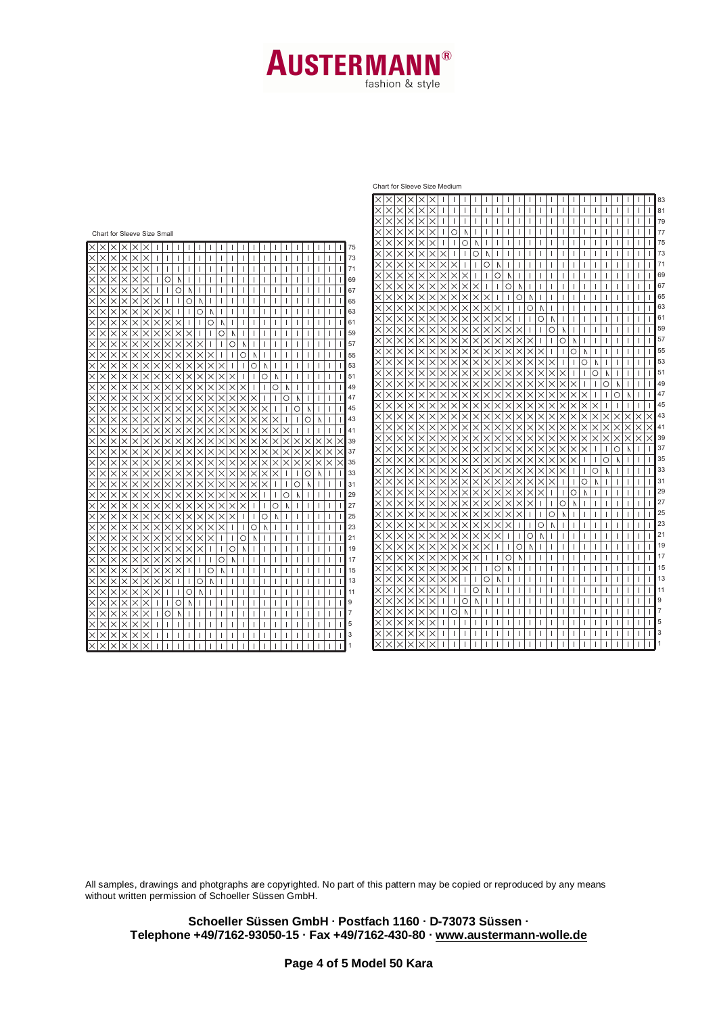## **AUSTERMAN** fashion & style

#### Chart for Sleeve Size Medium

<u> XXXXXXIIIIIIIIIIIIIIIIIIIIIIIIII</u>

|                                                                                                                                                                                                  | х<br>∣Х<br>Х<br>Х                                                                                        |                                                               |                                                             | 81             |
|--------------------------------------------------------------------------------------------------------------------------------------------------------------------------------------------------|----------------------------------------------------------------------------------------------------------|---------------------------------------------------------------|-------------------------------------------------------------|----------------|
|                                                                                                                                                                                                  | $\times$<br>$\times$<br>$\times$<br>×                                                                    |                                                               |                                                             | 79             |
| Chart for Sleeve Size Small                                                                                                                                                                      | $\times$<br>$\times$<br>$\circ$<br>N.                                                                    |                                                               |                                                             | 77             |
| 75                                                                                                                                                                                               | $\times$<br>$\times$<br>$\circ$                                                                          |                                                               |                                                             | 75             |
| 73<br>$\times$<br>×<br>$\times$<br>×                                                                                                                                                             | $\times$<br>$\times$<br>$\times$<br>O                                                                    | A                                                             |                                                             | 73             |
| $\times$<br>$\times$<br>71<br>×                                                                                                                                                                  | $\times$<br>$\times$<br>$\times$<br>$\times$<br>$\times$<br>×<br>$\times$                                | ∩                                                             |                                                             | 71             |
| $\times$<br>$\times$<br>$\circ$<br>69<br>$\times$<br>A                                                                                                                                           | $\times$<br>$\times$<br>$\times$<br>$\times$<br>$\times$<br>$\times$<br>X<br>X                           | ∩                                                             |                                                             | 69             |
| $\times$<br>$\times$<br>$\circ$<br>67<br>$\times$<br>N                                                                                                                                           | $\times$<br>$\times$<br>×<br>X<br>X<br>×<br>X<br>$\times$                                                | O<br>Λ                                                        |                                                             | 67             |
| O<br>$\times$<br>$\times$<br>65<br>X<br>N                                                                                                                                                        | $\times$<br>$\times$<br>$\times$<br>$\times$<br>$\times$                                                 | $\times$<br>O<br>Ν                                            |                                                             | 65             |
| 63<br>$\times$<br>$\times$<br>$\times$<br>$\times$<br>$\times$<br>Ω<br>Λ                                                                                                                         | $\times$<br>$\times$<br>$\times$<br>$\times$<br>$\times$                                                 | Ō<br>×<br>Ν                                                   |                                                             | 63             |
| 61<br>$\times$<br>$\times$<br>$\times$<br>$\times$<br>$\times$<br>$\times$<br>$\times$<br>Ο<br>$\times$<br>×                                                                                     | $\times$<br>$\times$<br>$\times$<br>$\times$<br>$\times$<br>$\times$<br>$\times$                         | $\times$<br>∩<br>×                                            |                                                             | 61             |
| 59<br>O<br>$\times$<br>×<br>$\times$<br>$\times$<br>×<br>×<br>×<br>Λ                                                                                                                             | $\times$<br>$\times$<br>×<br>×                                                                           | ×                                                             | О                                                           | 59             |
| 57<br>$\times$<br>$\times$<br>$\times$<br>×<br>×<br>$\times$<br>$\times$<br>$\times$<br>×<br>О<br>×                                                                                              | $\times$<br>$\times$<br>$\times$<br>$\times$<br>$\times$<br>$\times$<br>$\times$                         | ×                                                             | О                                                           | 57             |
| $\times$<br>$\times$<br>$\times$<br>$\times$<br>$\times$<br>$\times$<br>$\bigcirc$<br>55<br>$\times$<br>$\times$<br>$\times$                                                                     | $\times$<br>$\times$<br>$\times$<br>×<br>$\times$<br>$\times$<br>X                                       | ×<br>×<br>$\times$<br>×<br>×                                  | O                                                           | 55             |
| $\times$<br>$\times$<br>$\times$<br>$\times$<br>$\times$<br>53<br>$\times$<br>$\times$<br>$\times$<br>$\bigcirc$<br>Δ                                                                            | $\times$<br>$\times$<br>$\times$<br>×<br>$\times$<br>×<br>X                                              | ×<br>×                                                        | $\circ$                                                     | 53             |
| $\times$<br>$\times$<br>$\times$<br>$\times$<br>$\times$<br>$\times$<br>$\times$<br>$\times$<br>×<br>$\times$<br>$\times$<br>$\times$<br>O<br>51<br>×<br>Λ                                       | $\times$<br>$\times$<br>$\times$<br>$\times$<br>×<br>$\times$                                            | $\times$                                                      | ×<br>O                                                      | 51             |
| $\times$<br>$\times$<br>$\times$<br>$\times$<br>$\times$<br>$\times$<br>$\times$<br>$\times$<br>$\times$<br>$\times$<br>Ō<br>49<br>$\times$<br>$\times$<br>$\times$<br>$\times$<br>×<br>Ν        | $\times$<br>$\times$<br>$\times$<br>$\times$<br>$\times$                                                 | $\times$                                                      | $\times$<br>$\times$<br>Ō                                   | 49             |
| 47<br>O<br>$\times$<br>×<br>$\times$<br>$\times$<br>$\times$<br>$\times$<br>$\times$<br>×<br>×<br>×<br>×<br>×                                                                                    | $\times$<br>$\times$<br>×                                                                                |                                                               | O<br>$\times$<br>×<br>Ν                                     | 47             |
| 45<br>$\times$<br>$\times$<br>$\times$<br>$\times$<br>$\times$<br>$\times$<br>$\times$<br>$\times$<br>Ο<br>$\times$<br>×                                                                         | $\times$<br>$\times$<br>$\times$<br>$\times$<br>$\times$<br>$\times$<br>$\times$<br>×                    | ×                                                             | $\times$<br>$\times$<br>×                                   | 45             |
| $\times$<br>43<br>$\times$<br>$\times$<br>$\times$<br>$\times$<br>$\times$<br>$\times$<br>$\times$<br>Ó<br>$\times$<br>$\times$                                                                  | $\times$<br>$\times$<br>$\times$<br>$\times$<br>$\times$<br>$\times$<br>$\times$<br>$\times$             | $\times$<br>$\times$<br>$\times$                              | $\times$<br>$\times$<br>×                                   | 43<br>$\times$ |
| $\times$<br>$\times$<br>41<br>$\times$<br>$\times$<br>$\times$<br>X<br>×<br>×                                                                                                                    | ×<br>$\times$<br>×<br>×<br>×<br>×<br>×<br>×                                                              | ×<br>×<br>×                                                   | ×<br>×<br>×<br>×                                            | 41             |
| 39<br>$\times$<br>$\times$<br>$\times$<br>$\times$<br>$\times$<br>X<br>$\times$<br>×<br>×<br>×                                                                                                   | $\times$<br>$\times$<br>$\times$<br>$\times$<br>$\times$<br>×                                            | $\times$                                                      | $\times$<br>$\times$<br>×                                   | 39<br>$\times$ |
| 37<br>$\times$<br>$\times$<br>$\times$<br>$\times$<br>$\times$<br>$\times$<br>$\times$<br>$\times$<br>$\times$<br>$\times$<br>$\times$<br>$\times$<br>$\times$<br>$\times$<br>$\times$<br>×<br>X | $\times$<br>$\times$<br>$\times$<br>X<br>$\times$<br>$\times$<br>$\times$                                | $\times$<br>$\times$                                          | $\times$<br>$\times$<br>$\times$<br>$\circ$<br>$\mathbb{N}$ | 37             |
| 35<br>$\times$<br>$\times$<br>$\times$<br>$\times$<br>$\times$<br>$\times$<br>$\times$<br>$\times$<br>×<br>×<br>×<br>×<br>$\times$<br>×<br>×<br>$\times$ l<br>$\times$<br>×                      | $\times$<br>$\times$<br>$\times$<br>$\times$<br>$\times$<br>$\times$<br>$\times$<br>$\times$<br>$\times$ | $\times$<br>$\times$<br>$\times$<br>$\times$<br>$\times$      | $\times$<br>$\circ$<br>$\times$<br>$\times$<br>Λ            | 35             |
| 33<br>Ó<br>$\times$<br>$\times$<br>$\times$<br>$\times$<br>$\times$<br>$\times$<br>$\times$<br>$\times$<br>$\times$<br>$\times$<br>$\times$<br>$\times$                                          | $\times$<br>$\times$<br>$\times$<br>$\times$<br>$\times$<br>$\times$<br>$\times$<br>$\times$<br>$\times$ | $\times$<br>$\times$<br>$\times$<br>$\times$<br>X<br>×        | $\times$<br>$\circ$<br>$\mathbb N$<br>$\times$              | 33             |
| $\times$<br>$\times$<br>$\times$<br>$\times$<br>$\times$<br>$\times$<br>$\times$<br>$\times$<br>$\times$<br>$\times$<br>$\times$<br>$\times$<br>$\times$<br>$\times$<br>O<br>Δ<br>31             | $\times$<br>$\times$<br>$\times$<br>$\times$<br>$\times$<br>$\times$<br>$\times$<br>$\times$<br>$\times$ | X<br>$\times$<br>$\times$<br>$\times$<br>$\times$<br>$\times$ | O<br>$\times$                                               | 31             |
| $\circ$<br>29<br>$\times$<br>$\times$<br>$\times$<br>$\times$<br>$\times$<br>$\times$<br>$\times$<br>$\times$<br>$\times$<br>×<br>$\times$<br>×<br>$\times$<br>N                                 | $\times$<br>$\times$<br>$\times$<br>$\times$<br>$\times$<br>$\times$<br>$\times$<br>$\times$<br>×        | $\times$<br>$\times$<br>$\times$<br>$\times$<br>$\times$<br>× | $\circ$<br>N                                                | 29             |
| 27<br>Ō<br>$\times$<br>$\times$<br>$\times$<br>$\times$<br>×<br>$\times$<br>$\times$<br>$\times$<br>×<br>×<br>×<br>$\times$<br>N                                                                 | $\times$<br>$\times$<br>$\times$<br>$\times$<br>$\times$<br>$\times$<br>×<br>×                           | $\times$<br>$\times$<br>$\times$<br>×<br>×                    | O<br>Λ                                                      | 27             |
| 25<br>$\times$<br>$\times$<br>$\times$<br>$\times$<br>$\times$<br>$\times$<br>$\times$<br>$\times$<br>$\times$<br>$\times$<br>О<br>N<br>×<br>×                                                   | $\times$<br>$\times$<br>$\times$<br>$\times$<br>$\times$<br>$\times$<br>$\times$<br>$\times$<br>$\times$ | $\times$<br>$\times$<br>X                                     | O                                                           | 25             |
| $\circ$<br>23<br>$\times$<br>$\times$<br>$\times$<br>$\times$<br>$\times$<br>$\times$<br>$\times$<br>X<br>×<br>Λ<br>×<br>×                                                                       | $\times$<br>$\times$<br>$\times$<br>$\times$<br>$\times$<br>$\times$                                     | $\bigcirc$<br>$\times$<br>$\times$<br>$\times$                | Λ                                                           | 23             |
| 21<br>$\times$<br>$\times$<br>$\times$<br>$\times$<br>$\circ$<br>×<br>X<br>$\times$<br>×<br>×<br>Λ                                                                                               | $\times$<br>$\times$<br>$\times$<br>$\times$<br>$\times$<br>$\times$<br>×                                | $\circ$<br>$\mathbb{N}$<br>$\times$<br>$\times$               |                                                             | 21             |
| $\times$<br>$\times$<br>$\times$<br>$\times$<br>$\times$<br>$\times$<br>$\times$<br>$\bigcirc$<br>19<br>$\times$<br>$\mathbb{N}$                                                                 | $\times$<br>$\times$<br>$\times$<br>$\times$<br>$\times$<br>$\times$<br>$\times$<br>$\times$<br>$\times$ | Ó<br>$\times$<br>N                                            |                                                             | 19             |
| $\circ$<br>17<br>$\times$<br>$\times$<br>$\times$<br>$\times$<br>$\times$<br>X<br>$\times$<br>$\times$<br>Λ                                                                                      | $\times$<br>$\times$<br>$\times$<br>$\times$<br>$\times$<br>$\times$<br>$\times$<br>X                    | O<br>Δ                                                        |                                                             | 17             |
| $\times$<br>O<br>$\times$<br>$\times$<br>$\times$<br>$\times$<br>$\times$<br>N<br>15                                                                                                             | $\times$<br>$\times$<br>$\times$<br>$\times$<br>$\times$<br>×<br>X<br>$\times$                           | $\circ$<br>Λ                                                  |                                                             | 15             |
| 13<br>$\times$<br>$\times$<br>$\times$<br>О<br>×<br>×<br>×<br>×                                                                                                                                  | $\times$<br>$\times$<br>$\times$<br>$\times$<br>$\times$<br>X                                            | O<br>A                                                        |                                                             | 13             |
| $\circ$<br>11<br>×<br>$\times$<br>×<br>×<br>×<br>Ν                                                                                                                                               | $\times$<br>$\times$<br>$\times$<br>$\times$<br>$\times$<br>$\times$<br>$\circ$                          | $\mathbb{N}$                                                  |                                                             | 11             |
| l 9<br>O<br>×<br>$\times$<br>Ν                                                                                                                                                                   | $\times$<br>$\times$<br>$\times$<br>$\times$<br>$\circ$<br>$\times$<br>A                                 |                                                               |                                                             | 9              |
| $\times$<br>$\circ$<br>$\overline{7}$<br>$\times$<br>$\times$<br>$\mathbb N$<br>×                                                                                                                | $\times$<br>$\times$<br>$\times$<br>$\times$<br>$\circ$<br>$\Lambda$<br>X                                |                                                               |                                                             |                |
| $\times$<br>$\times$<br>$\times$<br>$\times$<br>$\times$<br>5<br>×                                                                                                                               | $\times$<br>$\times$<br>$\times$<br>$\times$<br>$\times$                                                 |                                                               |                                                             | 5              |
| $\mathsf{K}$<br>$\times$<br>Ι×<br>3<br>$\times$<br>$\times$<br>×                                                                                                                                 | $\times$<br>$\times$<br>$\times$<br>$\times$<br>X                                                        |                                                               |                                                             | 3              |
| $\overline{\times}$<br>$\overline{\times}$<br>$\overline{\times}$<br>$\times$<br>Ιx<br>$\times$                                                                                                  | $\times$<br>$\times$<br>$\times$<br>$\times$                                                             |                                                               |                                                             |                |

All samples, drawings and photgraphs are copyrighted. No part of this pattern may be copied or reproduced by any means without written permission of Schoeller Süssen GmbH.

**Schoeller Süssen GmbH · Postfach 1160 · D-73073 Süssen · Telephone +49/7162-93050-15 · Fax +49/7162-430-80 · www.austermann-wolle.de**